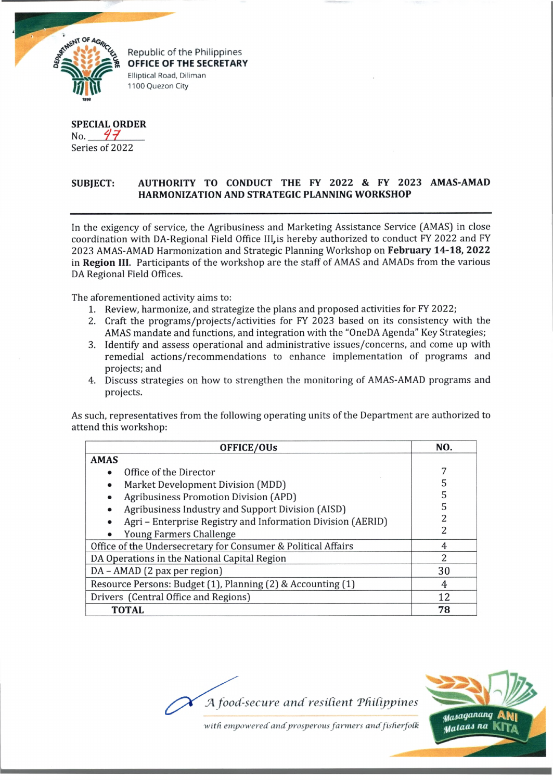

Republic of the Philippines **OFFICE OF THE SECRETARY** Elliptical Road, Diliman 1100 Quezon City

**SPECIAL ORDER** No.  $47$ Series of 2022

## **SUBJECT: AUTHORITY TO CONDUCT THE FY 2022 & FY 2023 AMAS-AMAD HARMONIZATION AND STRATEGIC PLANNING WORKSHOP**

In the exigency of service, the Agribusiness and Marketing Assistance Service (AMAS) in close coordination with DA-Regional Field Office III,is hereby authorized to conduct FY 2022 and FY 2023 AMAS-AMAD Harmonization and Strategic Planning Workshop on **February 14-18, 2022** in **Region III.** Participants of the workshop are the staff of AMAS and AMADs from the various DA Regional Field Offices.

The aforementioned activity aims to:

- 1. Review, harmonize, and strategize the plans and proposed activities for FY 2022;
- 2. Craft the programs/projects/activities for FY 2023 based on its consistency with the AMAS mandate and functions, and integration with the "OneDA Agenda" Key Strategies;
- 3. Identify and assess operational and administrative issues/concerns, and come up with remedial actions/recommendations to enhance implementation of programs and projects; and
- 4. Discuss strategies on how to strengthen the monitoring of AMAS-AMAD programs and projects.

As such, representatives from the following operating units of the Department are authorized to attend this workshop:

| <b>OFFICE/OUs</b>                                             | NO. |
|---------------------------------------------------------------|-----|
| <b>AMAS</b>                                                   |     |
| Office of the Director                                        |     |
| Market Development Division (MDD)                             | 5   |
| <b>Agribusiness Promotion Division (APD)</b>                  | 5   |
| Agribusiness Industry and Support Division (AISD)             | 5   |
| Agri - Enterprise Registry and Information Division (AERID)   | 2   |
| Young Farmers Challenge                                       | 2   |
| Office of the Undersecretary for Consumer & Political Affairs | 4   |
| DA Operations in the National Capital Region                  | 2   |
| DA - AMAD (2 pax per region)                                  | 30  |
| Resource Persons: Budget (1), Planning (2) & Accounting (1)   | 4   |
| Drivers (Central Office and Regions)                          | 12  |
| <b>TOTAL</b>                                                  | 78  |

Masaganang Malaas na |

with empowered and prosperous farmers and fisherfolk

*JA food-secure and resilient TfiiCippines*